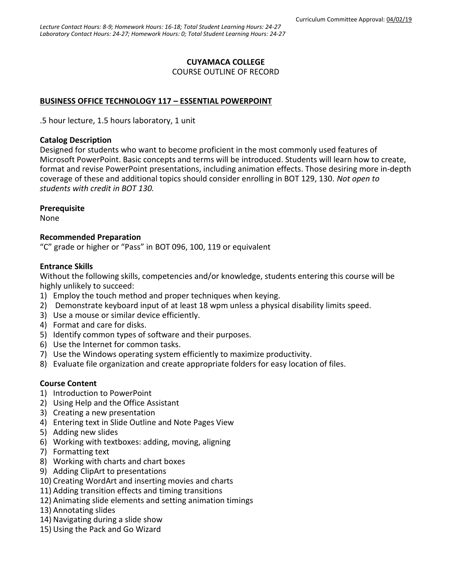#### **CUYAMACA COLLEGE**

COURSE OUTLINE OF RECORD

## **BUSINESS OFFICE TECHNOLOGY 117 – ESSENTIAL POWERPOINT**

.5 hour lecture, 1.5 hours laboratory, 1 unit

#### **Catalog Description**

Designed for students who want to become proficient in the most commonly used features of Microsoft PowerPoint. Basic concepts and terms will be introduced. Students will learn how to create, format and revise PowerPoint presentations, including animation effects. Those desiring more in-depth coverage of these and additional topics should consider enrolling in BOT 129, 130. *Not open to students with credit in BOT 130.*

#### **Prerequisite**

None

#### **Recommended Preparation**

"C" grade or higher or "Pass" in BOT 096, 100, 119 or equivalent

#### **Entrance Skills**

Without the following skills, competencies and/or knowledge, students entering this course will be highly unlikely to succeed:

- 1) Employ the touch method and proper techniques when keying.
- 2) Demonstrate keyboard input of at least 18 wpm unless a physical disability limits speed.
- 3) Use a mouse or similar device efficiently.
- 4) Format and care for disks.
- 5) Identify common types of software and their purposes.
- 6) Use the Internet for common tasks.
- 7) Use the Windows operating system efficiently to maximize productivity.
- 8) Evaluate file organization and create appropriate folders for easy location of files.

## **Course Content**

- 1) Introduction to PowerPoint
- 2) Using Help and the Office Assistant
- 3) Creating a new presentation
- 4) Entering text in Slide Outline and Note Pages View
- 5) Adding new slides
- 6) Working with textboxes: adding, moving, aligning
- 7) Formatting text
- 8) Working with charts and chart boxes
- 9) Adding ClipArt to presentations
- 10) Creating WordArt and inserting movies and charts
- 11) Adding transition effects and timing transitions
- 12) Animating slide elements and setting animation timings
- 13) Annotating slides
- 14) Navigating during a slide show
- 15) Using the Pack and Go Wizard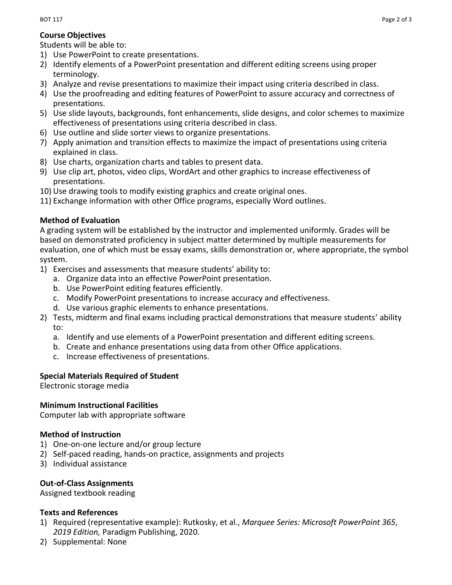#### **Course Objectives**

Students will be able to:

- 1) Use PowerPoint to create presentations.
- 2) Identify elements of a PowerPoint presentation and different editing screens using proper terminology.
- 3) Analyze and revise presentations to maximize their impact using criteria described in class.
- 4) Use the proofreading and editing features of PowerPoint to assure accuracy and correctness of presentations.
- 5) Use slide layouts, backgrounds, font enhancements, slide designs, and color schemes to maximize effectiveness of presentations using criteria described in class.
- 6) Use outline and slide sorter views to organize presentations.
- 7) Apply animation and transition effects to maximize the impact of presentations using criteria explained in class.
- 8) Use charts, organization charts and tables to present data.
- 9) Use clip art, photos, video clips, WordArt and other graphics to increase effectiveness of presentations.
- 10) Use drawing tools to modify existing graphics and create original ones.
- 11) Exchange information with other Office programs, especially Word outlines.

## **Method of Evaluation**

A grading system will be established by the instructor and implemented uniformly. Grades will be based on demonstrated proficiency in subject matter determined by multiple measurements for evaluation, one of which must be essay exams, skills demonstration or, where appropriate, the symbol system.

- 1) Exercises and assessments that measure students' ability to:
	- a. Organize data into an effective PowerPoint presentation.
	- b. Use PowerPoint editing features efficiently.
	- c. Modify PowerPoint presentations to increase accuracy and effectiveness.
	- d. Use various graphic elements to enhance presentations.
- 2) Tests, midterm and final exams including practical demonstrations that measure students' ability to:
	- a. Identify and use elements of a PowerPoint presentation and different editing screens.
	- b. Create and enhance presentations using data from other Office applications.
	- c. Increase effectiveness of presentations.

# **Special Materials Required of Student**

Electronic storage media

## **Minimum Instructional Facilities**

Computer lab with appropriate software

## **Method of Instruction**

- 1) One-on-one lecture and/or group lecture
- 2) Self-paced reading, hands-on practice, assignments and projects
- 3) Individual assistance

## **Out-of-Class Assignments**

Assigned textbook reading

## **Texts and References**

- 1) Required (representative example): Rutkosky, et al., *Marquee Series: Microsoft PowerPoint 365*, *2019 Edition,* Paradigm Publishing, 2020.
- 2) Supplemental: None